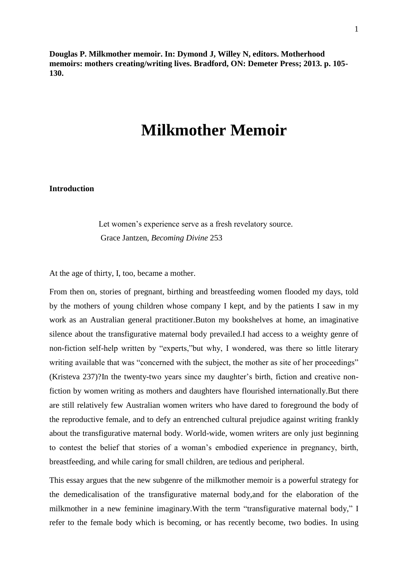**Douglas P. Milkmother memoir. In: Dymond J, Willey N, editors. Motherhood memoirs: mothers creating/writing lives. Bradford, ON: Demeter Press; 2013. p. 105- 130.**

# **Milkmother Memoir**

## **Introduction**

Let women's experience serve as a fresh revelatory source. Grace Jantzen, *Becoming Divine* 253

At the age of thirty, I, too, became a mother.

From then on, stories of pregnant, birthing and breastfeeding women flooded my days, told by the mothers of young children whose company I kept, and by the patients I saw in my work as an Australian general practitioner.Buton my bookshelves at home, an imaginative silence about the transfigurative maternal body prevailed.I had access to a weighty genre of non-fiction self-help written by "experts,"but why, I wondered, was there so little literary writing available that was "concerned with the subject, the mother as site of her proceedings" [\(Kristeva 237\)](#page-22-0)?In the twenty-two years since my daughter"s birth, fiction and creative nonfiction by women writing as mothers and daughters have flourished internationally.But there are still relatively few Australian women writers who have dared to foreground the body of the reproductive female, and to defy an entrenched cultural prejudice against writing frankly about the transfigurative maternal body. World-wide, women writers are only just beginning to contest the belief that stories of a woman"s embodied experience in pregnancy, birth, breastfeeding, and while caring for small children, are tedious and peripheral.

This essay argues that the new subgenre of the milkmother memoir is a powerful strategy for the demedicalisation of the transfigurative maternal body,and for the elaboration of the milkmother in a new feminine imaginary.With the term "transfigurative maternal body," I refer to the female body which is becoming, or has recently become, two bodies. In using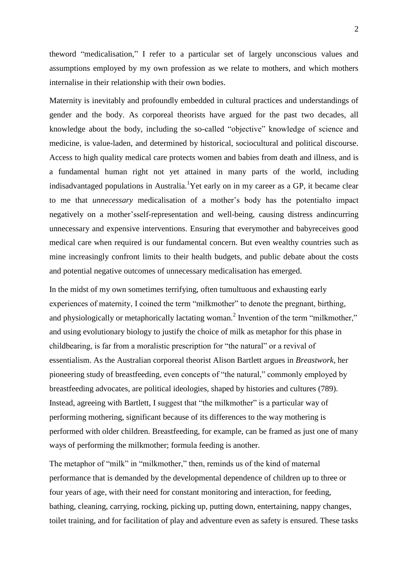theword "medicalisation," I refer to a particular set of largely unconscious values and assumptions employed by my own profession as we relate to mothers, and which mothers internalise in their relationship with their own bodies.

Maternity is inevitably and profoundly embedded in cultural practices and understandings of gender and the body. As corporeal theorists have argued for the past two decades, all knowledge about the body, including the so-called "objective" knowledge of science and medicine, is value-laden, and determined by historical, sociocultural and political discourse. Access to high quality medical care protects women and babies from death and illness, and is a fundamental human right not yet attained in many parts of the world, including indisadvantaged populations in Australia.<sup>1</sup>Yet early on in my career as a GP, it became clear to me that *unnecessary* medicalisation of a mother"s body has the potentialto impact negatively on a mother"sself-representation and well-being, causing distress andincurring unnecessary and expensive interventions. Ensuring that everymother and babyreceives good medical care when required is our fundamental concern. But even wealthy countries such as mine increasingly confront limits to their health budgets, and public debate about the costs and potential negative outcomes of unnecessary medicalisation has emerged.

In the midst of my own sometimes terrifying, often tumultuous and exhausting early experiences of maternity, I coined the term "milkmother" to denote the pregnant, birthing, and physiologically or metaphorically lactating woman.<sup>2</sup> Invention of the term "milkmother," and using evolutionary biology to justify the choice of milk as metaphor for this phase in childbearing, is far from a moralistic prescription for "the natural" or a revival of essentialism. As the Australian corporeal theorist Alison Bartlett argues in *Breastwork*, her pioneering study of breastfeeding, even concepts of "the natural," commonly employed by breastfeeding advocates, are political ideologies, shaped by histories and cultures (789). Instead, agreeing with Bartlett, I suggest that "the milkmother" is a particular way of performing mothering, significant because of its differences to the way mothering is performed with older children. Breastfeeding, for example, can be framed as just one of many ways of performing the milkmother; formula feeding is another.

The metaphor of "milk" in "milkmother," then, reminds us of the kind of maternal performance that is demanded by the developmental dependence of children up to three or four years of age, with their need for constant monitoring and interaction, for feeding, bathing, cleaning, carrying, rocking, picking up, putting down, entertaining, nappy changes, toilet training, and for facilitation of play and adventure even as safety is ensured. These tasks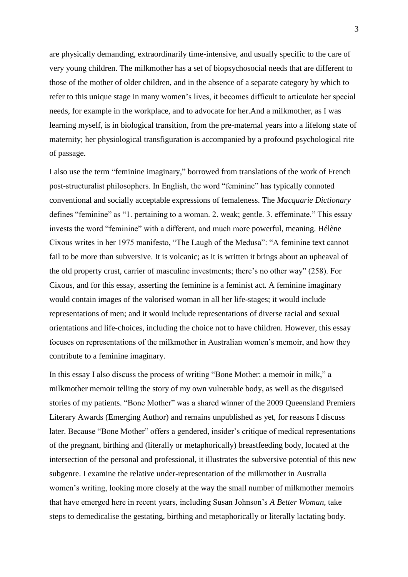are physically demanding, extraordinarily time-intensive, and usually specific to the care of very young children. The milkmother has a set of biopsychosocial needs that are different to those of the mother of older children, and in the absence of a separate category by which to refer to this unique stage in many women"s lives, it becomes difficult to articulate her special needs, for example in the workplace, and to advocate for her.And a milkmother, as I was learning myself, is in biological transition, from the pre-maternal years into a lifelong state of maternity; her physiological transfiguration is accompanied by a profound psychological rite of passage.

I also use the term "feminine imaginary," borrowed from translations of the work of French post-structuralist philosophers. In English, the word "feminine" has typically connoted conventional and socially acceptable expressions of femaleness. The *Macquarie Dictionary* defines "feminine" as "1. pertaining to a woman. 2. weak; gentle. 3. effeminate." This essay invests the word "feminine" with a different, and much more powerful, meaning. Hélène Cixous writes in her 1975 manifesto, "The Laugh of the Medusa": "A feminine text cannot fail to be more than subversive. It is volcanic; as it is written it brings about an upheaval of the old property crust, carrier of masculine investments; there"s no other way" (258). For Cixous, and for this essay, asserting the feminine is a feminist act. A feminine imaginary would contain images of the valorised woman in all her life-stages; it would include representations of men; and it would include representations of diverse racial and sexual orientations and life-choices, including the choice not to have children. However, this essay focuses on representations of the milkmother in Australian women"s memoir, and how they contribute to a feminine imaginary.

In this essay I also discuss the process of writing "Bone Mother: a memoir in milk," a milkmother memoir telling the story of my own vulnerable body, as well as the disguised stories of my patients. "Bone Mother" was a shared winner of the 2009 Queensland Premiers Literary Awards (Emerging Author) and remains unpublished as yet, for reasons I discuss later. Because "Bone Mother" offers a gendered, insider's critique of medical representations of the pregnant, birthing and (literally or metaphorically) breastfeeding body, located at the intersection of the personal and professional, it illustrates the subversive potential of this new subgenre. I examine the relative under-representation of the milkmother in Australia women"s writing, looking more closely at the way the small number of milkmother memoirs that have emerged here in recent years, including Susan Johnson"s *A Better Woman,* take steps to demedicalise the gestating, birthing and metaphorically or literally lactating body.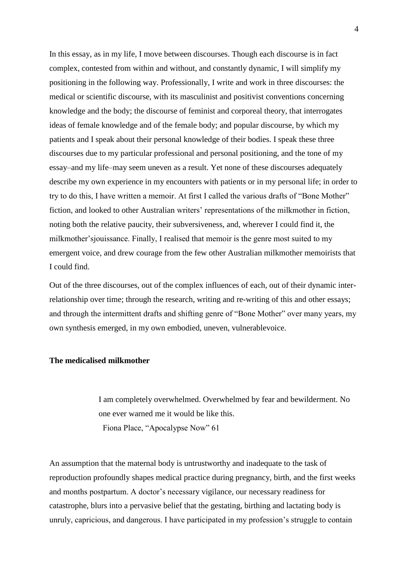In this essay, as in my life, I move between discourses. Though each discourse is in fact complex, contested from within and without, and constantly dynamic, I will simplify my positioning in the following way. Professionally, I write and work in three discourses: the medical or scientific discourse, with its masculinist and positivist conventions concerning knowledge and the body; the discourse of feminist and corporeal theory, that interrogates ideas of female knowledge and of the female body; and popular discourse, by which my patients and I speak about their personal knowledge of their bodies. I speak these three discourses due to my particular professional and personal positioning, and the tone of my essay–and my life–may seem uneven as a result. Yet none of these discourses adequately describe my own experience in my encounters with patients or in my personal life; in order to try to do this, I have written a memoir. At first I called the various drafts of "Bone Mother" fiction, and looked to other Australian writers' representations of the milkmother in fiction, noting both the relative paucity, their subversiveness, and, wherever I could find it, the milkmother"sjouissance. Finally, I realised that memoir is the genre most suited to my emergent voice, and drew courage from the few other Australian milkmother memoirists that I could find.

Out of the three discourses, out of the complex influences of each, out of their dynamic interrelationship over time; through the research, writing and re-writing of this and other essays; and through the intermittent drafts and shifting genre of "Bone Mother" over many years, my own synthesis emerged, in my own embodied, uneven, vulnerablevoice.

## **The medicalised milkmother**

I am completely overwhelmed. Overwhelmed by fear and bewilderment. No one ever warned me it would be like this. Fiona Place, "Apocalypse Now" 61

An assumption that the maternal body is untrustworthy and inadequate to the task of reproduction profoundly shapes medical practice during pregnancy, birth, and the first weeks and months postpartum. A doctor"s necessary vigilance, our necessary readiness for catastrophe, blurs into a pervasive belief that the gestating, birthing and lactating body is unruly, capricious, and dangerous. I have participated in my profession"s struggle to contain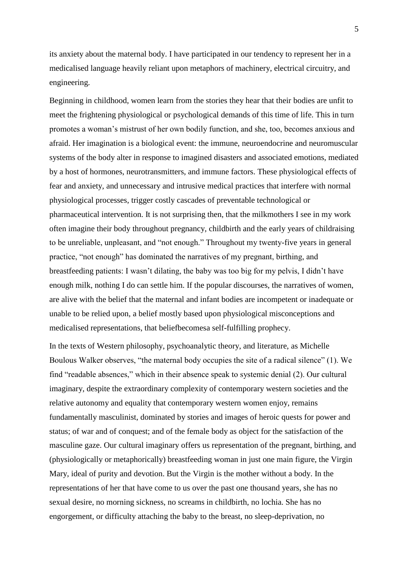its anxiety about the maternal body. I have participated in our tendency to represent her in a medicalised language heavily reliant upon metaphors of machinery, electrical circuitry, and engineering.

Beginning in childhood, women learn from the stories they hear that their bodies are unfit to meet the frightening physiological or psychological demands of this time of life. This in turn promotes a woman"s mistrust of her own bodily function, and she, too, becomes anxious and afraid. Her imagination is a biological event: the immune, neuroendocrine and neuromuscular systems of the body alter in response to imagined disasters and associated emotions, mediated by a host of hormones, neurotransmitters, and immune factors. These physiological effects of fear and anxiety, and unnecessary and intrusive medical practices that interfere with normal physiological processes, trigger costly cascades of preventable technological or pharmaceutical intervention. It is not surprising then, that the milkmothers I see in my work often imagine their body throughout pregnancy, childbirth and the early years of childraising to be unreliable, unpleasant, and "not enough." Throughout my twenty-five years in general practice, "not enough" has dominated the narratives of my pregnant, birthing, and breastfeeding patients: I wasn"t dilating, the baby was too big for my pelvis, I didn"t have enough milk, nothing I do can settle him. If the popular discourses, the narratives of women, are alive with the belief that the maternal and infant bodies are incompetent or inadequate or unable to be relied upon, a belief mostly based upon physiological misconceptions and medicalised representations, that beliefbecomesa self-fulfilling prophecy.

In the texts of Western philosophy, psychoanalytic theory, and literature, as Michelle Boulous Walker observes, "the maternal body occupies the site of a radical silence" (1). We find "readable absences," which in their absence speak to systemic denial (2). Our cultural imaginary, despite the extraordinary complexity of contemporary western societies and the relative autonomy and equality that contemporary western women enjoy, remains fundamentally masculinist, dominated by stories and images of heroic quests for power and status; of war and of conquest; and of the female body as object for the satisfaction of the masculine gaze. Our cultural imaginary offers us representation of the pregnant, birthing, and (physiologically or metaphorically) breastfeeding woman in just one main figure, the Virgin Mary, ideal of purity and devotion. But the Virgin is the mother without a body. In the representations of her that have come to us over the past one thousand years, she has no sexual desire, no morning sickness, no screams in childbirth, no lochia. She has no engorgement, or difficulty attaching the baby to the breast, no sleep-deprivation, no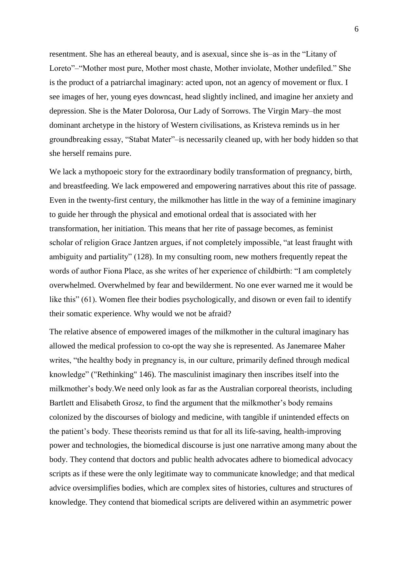resentment. She has an ethereal beauty, and is asexual, since she is–as in the "Litany of Loreto"–"Mother most pure, Mother most chaste, Mother inviolate, Mother undefiled." She is the product of a patriarchal imaginary: acted upon, not an agency of movement or flux. I see images of her, young eyes downcast, head slightly inclined, and imagine her anxiety and depression. She is the Mater Dolorosa, Our Lady of Sorrows. The Virgin Mary–the most dominant archetype in the history of Western civilisations, as Kristeva reminds us in her groundbreaking essay, "Stabat Mater"–is necessarily cleaned up, with her body hidden so that she herself remains pure.

We lack a mythopoeic story for the extraordinary bodily transformation of pregnancy, birth, and breastfeeding. We lack empowered and empowering narratives about this rite of passage. Even in the twenty-first century, the milkmother has little in the way of a feminine imaginary to guide her through the physical and emotional ordeal that is associated with her transformation, her initiation. This means that her rite of passage becomes, as feminist scholar of religion Grace Jantzen argues, if not completely impossible, "at least fraught with ambiguity and partiality" (128). In my consulting room, new mothers frequently repeat the words of author Fiona Place, as she writes of her experience of childbirth: "I am completely overwhelmed. Overwhelmed by fear and bewilderment. No one ever warned me it would be like this" (61). Women flee their bodies psychologically, and disown or even fail to identify their somatic experience. Why would we not be afraid?

The relative absence of empowered images of the milkmother in the cultural imaginary has allowed the medical profession to co-opt the way she is represented. As Janemaree Maher writes, "the healthy body in pregnancy is, in our culture, primarily defined through medical knowledge" ("Rethinking" 146). The masculinist imaginary then inscribes itself into the milkmother"s body.We need only look as far as the Australian corporeal theorists, including Bartlett and Elisabeth Grosz, to find the argument that the milkmother's body remains colonized by the discourses of biology and medicine, with tangible if unintended effects on the patient"s body. These theorists remind us that for all its life-saving, health-improving power and technologies, the biomedical discourse is just one narrative among many about the body. They contend that doctors and public health advocates adhere to biomedical advocacy scripts as if these were the only legitimate way to communicate knowledge; and that medical advice oversimplifies bodies, which are complex sites of histories, cultures and structures of knowledge. They contend that biomedical scripts are delivered within an asymmetric power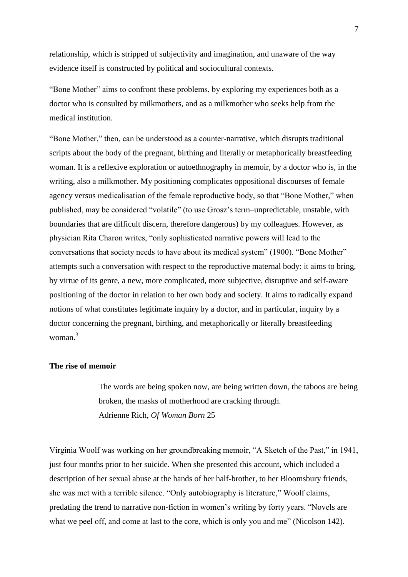relationship, which is stripped of subjectivity and imagination, and unaware of the way evidence itself is constructed by political and sociocultural contexts.

"Bone Mother" aims to confront these problems, by exploring my experiences both as a doctor who is consulted by milkmothers, and as a milkmother who seeks help from the medical institution.

"Bone Mother," then, can be understood as a counter-narrative, which disrupts traditional scripts about the body of the pregnant, birthing and literally or metaphorically breastfeeding woman. It is a reflexive exploration or autoethnography in memoir, by a doctor who is, in the writing, also a milkmother. My positioning complicates oppositional discourses of female agency versus medicalisation of the female reproductive body, so that "Bone Mother," when published, may be considered "volatile" (to use Grosz"s term–unpredictable, unstable, with boundaries that are difficult discern, therefore dangerous) by my colleagues. However, as physician Rita Charon writes, "only sophisticated narrative powers will lead to the conversations that society needs to have about its medical system" (1900). "Bone Mother" attempts such a conversation with respect to the reproductive maternal body: it aims to bring, by virtue of its genre, a new, more complicated, more subjective, disruptive and self-aware positioning of the doctor in relation to her own body and society. It aims to radically expand notions of what constitutes legitimate inquiry by a doctor, and in particular, inquiry by a doctor concerning the pregnant, birthing, and metaphorically or literally breastfeeding woman. 3

## **The rise of memoir**

The words are being spoken now, are being written down, the taboos are being broken, the masks of motherhood are cracking through. Adrienne Rich, *Of Woman Born* 25

Virginia Woolf was working on her groundbreaking memoir, "A Sketch of the Past," in 1941, just four months prior to her suicide. When she presented this account, which included a description of her sexual abuse at the hands of her half-brother, to her Bloomsbury friends, she was met with a terrible silence. "Only autobiography is literature," Woolf claims, predating the trend to narrative non-fiction in women"s writing by forty years. "Novels are what we peel off, and come at last to the core, which is only you and me" (Nicolson 142).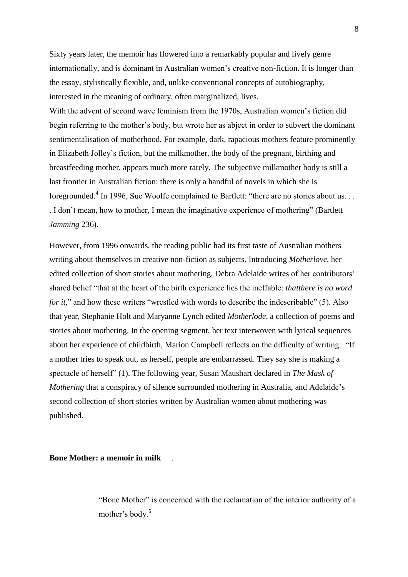Sixty years later, the memoir has flowered into a remarkably popular and lively genre internationally, and is dominant in Australian women's creative non-fiction. It is longer than the essay, stylistically flexible, and, unlike conventional concepts of autobiography, interested in the meaning of ordinary, often marginalized, lives.

With the advent of second wave feminism from the 1970s, Australian women"s fiction did begin referring to the mother"s body, but wrote her as abject in order to subvert the dominant sentimentalisation of motherhood. For example, dark, rapacious mothers feature prominently in Elizabeth Jolley"s fiction, but the milkmother, the body of the pregnant, birthing and breastfeeding mother, appears much more rarely. The subjective milkmother body is still a last frontier in Australian fiction: there is only a handful of novels in which she is foregrounded.<sup>4</sup> In 1996, Sue Woolfe complained to Bartlett: "there are no stories about us... . I don"t mean, how to mother, I mean the imaginative experience of mothering" [\(Bartlett](#page-22-1)  *[Jamming](#page-22-1)* 236).

However, from 1996 onwards, the reading public had its first taste of Australian mothers writing about themselves in creative non-fiction as subjects. Introducing *Motherlove*, her edited collection of short stories about mothering, Debra Adelaide writes of her contributors' shared belief "that at the heart of the birth experience lies the ineffable: *thatthere is no word for it*," and how these writers "wrestled with words to describe the indescribable" (5). Also that year, Stephanie Holt and Maryanne Lynch edited *Motherlode*, a collection of poems and stories about mothering. In the opening segment, her text interwoven with lyrical sequences about her experience of childbirth, Marion Campbell reflects on the difficulty of writing: "If a mother tries to speak out, as herself, people are embarrassed. They say she is making a spectacle of herself" [\(1\)](#page-22-2). The following year, Susan Maushart declared in *The Mask of Mothering* that a conspiracy of silence surrounded mothering in Australia, and Adelaide's second collection of short stories written by Australian women about mothering was published.

#### **Bone Mother: a memoir in milk** .

"Bone Mother" is concerned with the reclamation of the interior authority of a mother's body.<sup>5</sup>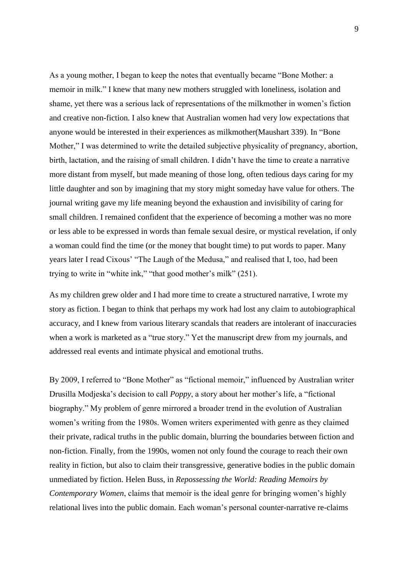As a young mother, I began to keep the notes that eventually became "Bone Mother: a memoir in milk." I knew that many new mothers struggled with loneliness, isolation and shame, yet there was a serious lack of representations of the milkmother in women"s fiction and creative non-fiction. I also knew that Australian women had very low expectations that anyone would be interested in their experiences as milkmother[\(Maushart 339\)](#page-23-0). In "Bone Mother," I was determined to write the detailed subjective physicality of pregnancy, abortion, birth, lactation, and the raising of small children. I didn"t have the time to create a narrative more distant from myself, but made meaning of those long, often tedious days caring for my little daughter and son by imagining that my story might someday have value for others. The journal writing gave my life meaning beyond the exhaustion and invisibility of caring for small children. I remained confident that the experience of becoming a mother was no more or less able to be expressed in words than female sexual desire, or mystical revelation, if only a woman could find the time (or the money that bought time) to put words to paper. Many years later I read Cixous" "The Laugh of the Medusa," and realised that I, too, had been trying to write in "white ink," "that good mother's milk" (251).

As my children grew older and I had more time to create a structured narrative, I wrote my story as fiction. I began to think that perhaps my work had lost any claim to autobiographical accuracy, and I knew from various literary scandals that readers are intolerant of inaccuracies when a work is marketed as a "true story." Yet the manuscript drew from my journals, and addressed real events and intimate physical and emotional truths.

By 2009, I referred to "Bone Mother" as "fictional memoir," influenced by Australian writer Drusilla Modjeska"s decision to call *Poppy*, a story about her mother"s life, a "fictional biography." My problem of genre mirrored a broader trend in the evolution of Australian women"s writing from the 1980s. Women writers experimented with genre as they claimed their private, radical truths in the public domain, blurring the boundaries between fiction and non-fiction. Finally, from the 1990s, women not only found the courage to reach their own reality in fiction, but also to claim their transgressive, generative bodies in the public domain unmediated by fiction. Helen Buss, in *Repossessing the World: Reading Memoirs by Contemporary Women*, claims that memoir is the ideal genre for bringing women"s highly relational lives into the public domain. Each woman"s personal counter-narrative re-claims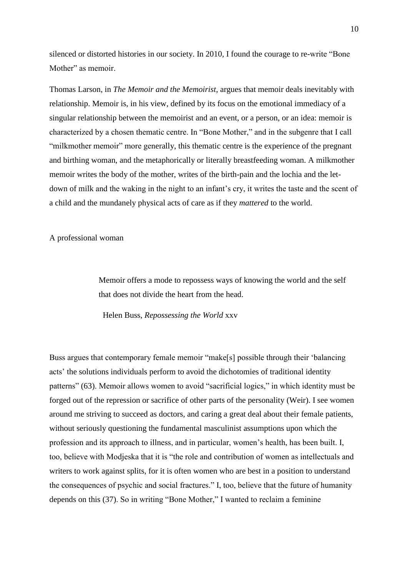silenced or distorted histories in our society. In 2010, I found the courage to re-write "Bone Mother" as memoir.

Thomas Larson, in *The Memoir and the Memoirist*, argues that memoir deals inevitably with relationship. Memoir is, in his view, defined by its focus on the emotional immediacy of a singular relationship between the memoirist and an event, or a person, or an idea: memoir is characterized by a chosen thematic centre. In "Bone Mother," and in the subgenre that I call "milkmother memoir" more generally, this thematic centre is the experience of the pregnant and birthing woman, and the metaphorically or literally breastfeeding woman. A milkmother memoir writes the body of the mother, writes of the birth-pain and the lochia and the letdown of milk and the waking in the night to an infant"s cry, it writes the taste and the scent of a child and the mundanely physical acts of care as if they *mattered* to the world.

A professional woman

Memoir offers a mode to repossess ways of knowing the world and the self that does not divide the heart from the head.

Helen Buss, *Repossessing the World* xxv

Buss argues that contemporary female memoir "make[s] possible through their "balancing acts" the solutions individuals perform to avoid the dichotomies of traditional identity patterns" [\(63\)](#page-22-3). Memoir allows women to avoid "sacrificial logics," in which identity must be forged out of the repression or sacrifice of other parts of the personality [\(Weir\)](#page-23-1). I see women around me striving to succeed as doctors, and caring a great deal about their female patients, without seriously questioning the fundamental masculinist assumptions upon which the profession and its approach to illness, and in particular, women"s health, has been built. I, too, believe with Modjeska that it is "the role and contribution of women as intellectuals and writers to work against splits, for it is often women who are best in a position to understand the consequences of psychic and social fractures." I, too, believe that the future of humanity depends on this [\(37\)](#page-23-2). So in writing "Bone Mother," I wanted to reclaim a feminine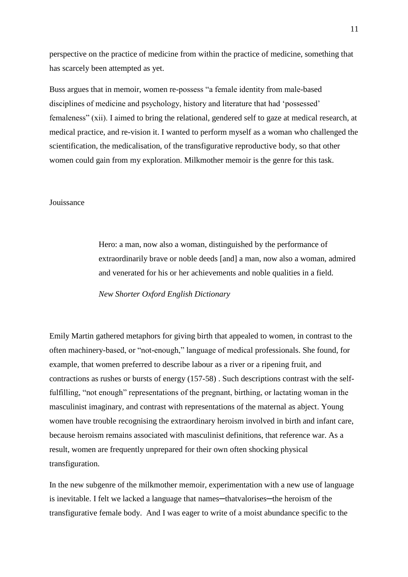perspective on the practice of medicine from within the practice of medicine, something that has scarcely been attempted as yet.

Buss argues that in memoir, women re-possess "a female identity from male-based disciplines of medicine and psychology, history and literature that had "possessed" femaleness" (xii). I aimed to bring the relational, gendered self to gaze at medical research, at medical practice, and re-vision it. I wanted to perform myself as a woman who challenged the scientification, the medicalisation, of the transfigurative reproductive body, so that other women could gain from my exploration. Milkmother memoir is the genre for this task.

## Jouissance

Hero: a man, now also a woman, distinguished by the performance of extraordinarily brave or noble deeds [and] a man, now also a woman, admired and venerated for his or her achievements and noble qualities in a field.

*New Shorter Oxford English Dictionary* 

Emily Martin gathered metaphors for giving birth that appealed to women, in contrast to the often machinery-based, or "not-enough," language of medical professionals. She found, for example, that women preferred to describe labour as a river or a ripening fruit, and contractions as rushes or bursts of energy (157-58) . Such descriptions contrast with the selffulfilling, "not enough" representations of the pregnant, birthing, or lactating woman in the masculinist imaginary, and contrast with representations of the maternal as abject. Young women have trouble recognising the extraordinary heroism involved in birth and infant care, because heroism remains associated with masculinist definitions, that reference war. As a result, women are frequently unprepared for their own often shocking physical transfiguration.

In the new subgenre of the milkmother memoir, experimentation with a new use of language is inevitable. I felt we lacked a language that names—thatvalorises—the heroism of the transfigurative female body. And I was eager to write of a moist abundance specific to the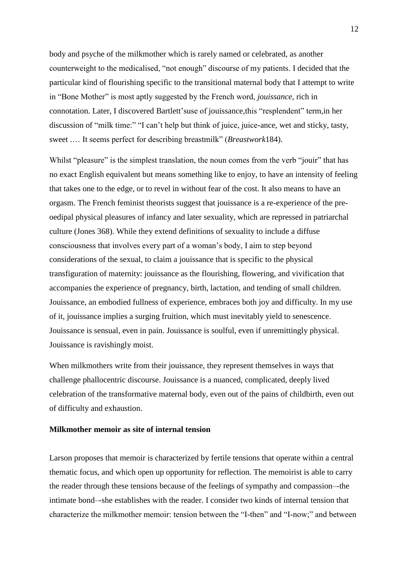body and psyche of the milkmother which is rarely named or celebrated, as another counterweight to the medicalised, "not enough" discourse of my patients. I decided that the particular kind of flourishing specific to the transitional maternal body that I attempt to write in "Bone Mother" is most aptly suggested by the French word, *jouissance*, rich in connotation. Later, I discovered Bartlett'suse of jouissance, this "resplendent" term, in her discussion of "milk time:" "I can"t help but think of juice, juice-ance, wet and sticky, tasty, sweet .… It seems perfect for describing breastmilk" (*Breastwork*184).

Whilst "pleasure" is the simplest translation, the noun comes from the verb "jouir" that has no exact English equivalent but means something like to enjoy, to have an intensity of feeling that takes one to the edge, or to revel in without fear of the cost. It also means to have an orgasm. The French feminist theorists suggest that jouissance is a re-experience of the preoedipal physical pleasures of infancy and later sexuality, which are repressed in patriarchal culture [\(Jones 368\)](#page-22-4). While they extend definitions of sexuality to include a diffuse consciousness that involves every part of a woman"s body, I aim to step beyond considerations of the sexual, to claim a jouissance that is specific to the physical transfiguration of maternity: jouissance as the flourishing, flowering, and vivification that accompanies the experience of pregnancy, birth, lactation, and tending of small children. Jouissance, an embodied fullness of experience, embraces both joy and difficulty. In my use of it, jouissance implies a surging fruition, which must inevitably yield to senescence. Jouissance is sensual, even in pain. Jouissance is soulful, even if unremittingly physical. Jouissance is ravishingly moist.

When milkmothers write from their jouissance, they represent themselves in ways that challenge phallocentric discourse. Jouissance is a nuanced, complicated, deeply lived celebration of the transformative maternal body, even out of the pains of childbirth, even out of difficulty and exhaustion.

## **Milkmother memoir as site of internal tension**

Larson proposes that memoir is characterized by fertile tensions that operate within a central thematic focus, and which open up opportunity for reflection. The memoirist is able to carry the reader through these tensions because of the feelings of sympathy and compassion–-the intimate bond–-she establishes with the reader. I consider two kinds of internal tension that characterize the milkmother memoir: tension between the "I-then" and "I-now;" and between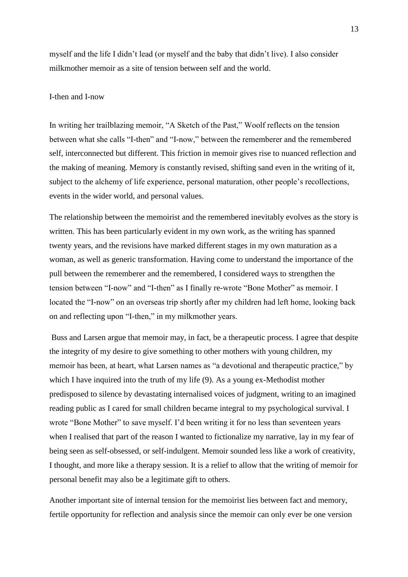myself and the life I didn"t lead (or myself and the baby that didn"t live). I also consider milkmother memoir as a site of tension between self and the world.

#### I-then and I-now

In writing her trailblazing memoir, "A Sketch of the Past," Woolf reflects on the tension between what she calls "I-then" and "I-now," between the rememberer and the remembered self, interconnected but different. This friction in memoir gives rise to nuanced reflection and the making of meaning. Memory is constantly revised, shifting sand even in the writing of it, subject to the alchemy of life experience, personal maturation, other people's recollections, events in the wider world, and personal values.

The relationship between the memoirist and the remembered inevitably evolves as the story is written. This has been particularly evident in my own work, as the writing has spanned twenty years, and the revisions have marked different stages in my own maturation as a woman, as well as generic transformation. Having come to understand the importance of the pull between the rememberer and the remembered, I considered ways to strengthen the tension between "I-now" and "I-then" as I finally re-wrote "Bone Mother" as memoir. I located the "I-now" on an overseas trip shortly after my children had left home, looking back on and reflecting upon "I-then," in my milkmother years.

Buss and Larsen argue that memoir may, in fact, be a therapeutic process. I agree that despite the integrity of my desire to give something to other mothers with young children, my memoir has been, at heart, what Larsen names as "a devotional and therapeutic practice," by which I have inquired into the truth of my life (9). As a young ex-Methodist mother predisposed to silence by devastating internalised voices of judgment, writing to an imagined reading public as I cared for small children became integral to my psychological survival. I wrote "Bone Mother" to save myself. I"d been writing it for no less than seventeen years when I realised that part of the reason I wanted to fictionalize my narrative, lay in my fear of being seen as self-obsessed, or self-indulgent. Memoir sounded less like a work of creativity, I thought, and more like a therapy session. It is a relief to allow that the writing of memoir for personal benefit may also be a legitimate gift to others.

Another important site of internal tension for the memoirist lies between fact and memory, fertile opportunity for reflection and analysis since the memoir can only ever be one version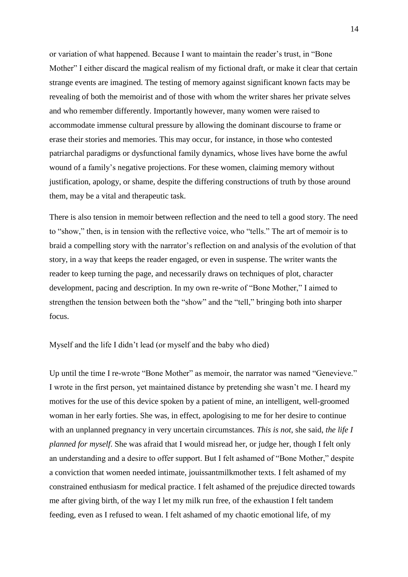or variation of what happened. Because I want to maintain the reader"s trust, in "Bone Mother" I either discard the magical realism of my fictional draft, or make it clear that certain strange events are imagined. The testing of memory against significant known facts may be revealing of both the memoirist and of those with whom the writer shares her private selves and who remember differently. Importantly however, many women were raised to accommodate immense cultural pressure by allowing the dominant discourse to frame or erase their stories and memories. This may occur, for instance, in those who contested patriarchal paradigms or dysfunctional family dynamics, whose lives have borne the awful wound of a family"s negative projections. For these women, claiming memory without justification, apology, or shame, despite the differing constructions of truth by those around them, may be a vital and therapeutic task.

There is also tension in memoir between reflection and the need to tell a good story. The need to "show," then, is in tension with the reflective voice, who "tells." The art of memoir is to braid a compelling story with the narrator"s reflection on and analysis of the evolution of that story, in a way that keeps the reader engaged, or even in suspense. The writer wants the reader to keep turning the page, and necessarily draws on techniques of plot, character development, pacing and description. In my own re-write of "Bone Mother," I aimed to strengthen the tension between both the "show" and the "tell," bringing both into sharper focus.

Myself and the life I didn"t lead (or myself and the baby who died)

Up until the time I re-wrote "Bone Mother" as memoir, the narrator was named "Genevieve." I wrote in the first person, yet maintained distance by pretending she wasn"t me. I heard my motives for the use of this device spoken by a patient of mine, an intelligent, well-groomed woman in her early forties. She was, in effect, apologising to me for her desire to continue with an unplanned pregnancy in very uncertain circumstances. *This is not*, she said, *the life I planned for myself*. She was afraid that I would misread her, or judge her, though I felt only an understanding and a desire to offer support. But I felt ashamed of "Bone Mother," despite a conviction that women needed intimate, jouissantmilkmother texts. I felt ashamed of my constrained enthusiasm for medical practice. I felt ashamed of the prejudice directed towards me after giving birth, of the way I let my milk run free, of the exhaustion I felt tandem feeding, even as I refused to wean. I felt ashamed of my chaotic emotional life, of my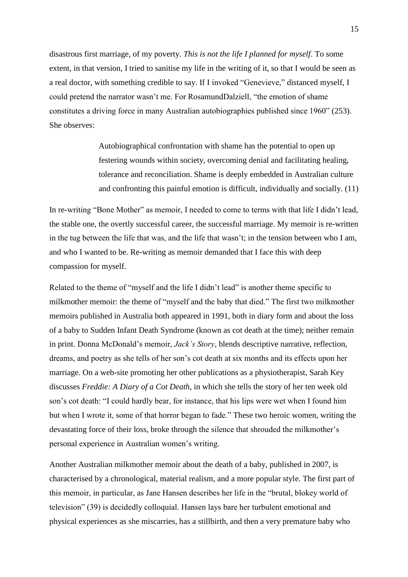disastrous first marriage, of my poverty. *This is not the life I planned for myself*. To some extent, in that version, I tried to sanitise my life in the writing of it, so that I would be seen as a real doctor, with something credible to say. If I invoked "Genevieve," distanced myself, I could pretend the narrator wasn"t me. For RosamundDalziell, "the emotion of shame constitutes a driving force in many Australian autobiographies published since 1960" (253). She observes:

> Autobiographical confrontation with shame has the potential to open up festering wounds within society, overcoming denial and facilitating healing, tolerance and reconciliation. Shame is deeply embedded in Australian culture and confronting this painful emotion is difficult, individually and socially. (11)

In re-writing "Bone Mother" as memoir, I needed to come to terms with that life I didn"t lead, the stable one, the overtly successful career, the successful marriage. My memoir is re-written in the tug between the life that was, and the life that wasn"t; in the tension between who I am, and who I wanted to be. Re-writing as memoir demanded that I face this with deep compassion for myself.

Related to the theme of "myself and the life I didn"t lead" is another theme specific to milkmother memoir: the theme of "myself and the baby that died." The first two milkmother memoirs published in Australia both appeared in 1991, both in diary form and about the loss of a baby to Sudden Infant Death Syndrome (known as cot death at the time); neither remain in print. Donna McDonald"s memoir, *Jack's Story*, blends descriptive narrative, reflection, dreams, and poetry as she tells of her son"s cot death at six months and its effects upon her marriage. On a web-site promoting her other publications as a physiotherapist, Sarah Key discusses *Freddie: A Diary of a Cot Death*, in which she tells the story of her ten week old son"s cot death: "I could hardly bear, for instance, that his lips were wet when I found him but when I wrote it, some of that horror began to fade." These two heroic women, writing the devastating force of their loss, broke through the silence that shrouded the milkmother"s personal experience in Australian women"s writing.

Another Australian milkmother memoir about the death of a baby, published in 2007, is characterised by a chronological, material realism, and a more popular style. The first part of this memoir, in particular, as Jane Hansen describes her life in the "brutal, blokey world of television" (39) is decidedly colloquial. Hansen lays bare her turbulent emotional and physical experiences as she miscarries, has a stillbirth, and then a very premature baby who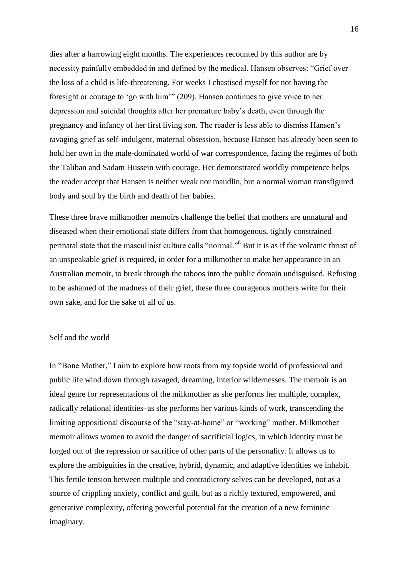dies after a harrowing eight months. The experiences recounted by this author are by necessity painfully embedded in and defined by the medical. Hansen observes: "Grief over the loss of a child is life-threatening. For weeks I chastised myself for not having the foresight or courage to "go with him"" (209). Hansen continues to give voice to her depression and suicidal thoughts after her premature baby"s death, even through the pregnancy and infancy of her first living son. The reader is less able to dismiss Hansen"s ravaging grief as self-indulgent, maternal obsession, because Hansen has already been seen to hold her own in the male-dominated world of war correspondence, facing the regimes of both the Taliban and Sadam Hussein with courage. Her demonstrated worldly competence helps the reader accept that Hansen is neither weak nor maudlin, but a normal woman transfigured body and soul by the birth and death of her babies.

These three brave milkmother memoirs challenge the belief that mothers are unnatural and diseased when their emotional state differs from that homogenous, tightly constrained perinatal state that the masculinist culture calls "normal."<sup>6</sup> But it is as if the volcanic thrust of an unspeakable grief is required, in order for a milkmother to make her appearance in an Australian memoir, to break through the taboos into the public domain undisguised. Refusing to be ashamed of the madness of their grief, these three courageous mothers write for their own sake, and for the sake of all of us.

### Self and the world

In "Bone Mother," I aim to explore how roots from my topside world of professional and public life wind down through ravaged, dreaming, interior wildernesses. The memoir is an ideal genre for representations of the milkmother as she performs her multiple, complex, radically relational identities–as she performs her various kinds of work, transcending the limiting oppositional discourse of the "stay-at-home" or "working" mother. Milkmother memoir allows women to avoid the danger of sacrificial logics, in which identity must be forged out of the repression or sacrifice of other parts of the personality. It allows us to explore the ambiguities in the creative, hybrid, dynamic, and adaptive identities we inhabit. This fertile tension between multiple and contradictory selves can be developed, not as a source of crippling anxiety, conflict and guilt, but as a richly textured, empowered, and generative complexity, offering powerful potential for the creation of a new feminine imaginary.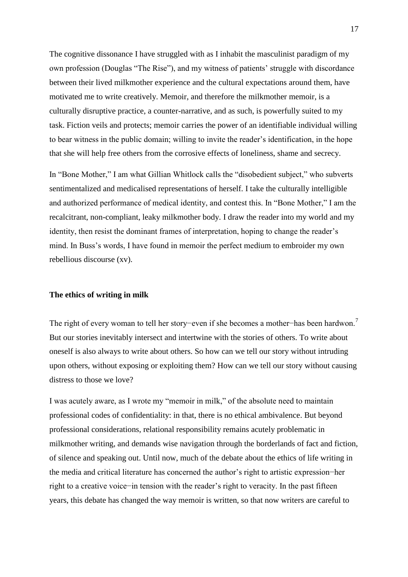The cognitive dissonance I have struggled with as I inhabit the masculinist paradigm of my own profession (Douglas "The Rise"), and my witness of patients" struggle with discordance between their lived milkmother experience and the cultural expectations around them, have motivated me to write creatively. Memoir, and therefore the milkmother memoir, is a culturally disruptive practice, a counter-narrative, and as such, is powerfully suited to my task. Fiction veils and protects; memoir carries the power of an identifiable individual willing to bear witness in the public domain; willing to invite the reader"s identification, in the hope that she will help free others from the corrosive effects of loneliness, shame and secrecy.

In "Bone Mother," I am what Gillian Whitlock calls the "disobedient subject," who subverts sentimentalized and medicalised representations of herself. I take the culturally intelligible and authorized performance of medical identity, and contest this. In "Bone Mother," I am the recalcitrant, non-compliant, leaky milkmother body. I draw the reader into my world and my identity, then resist the dominant frames of interpretation, hoping to change the reader's mind. In Buss"s words, I have found in memoir the perfect medium to embroider my own rebellious discourse (xv).

#### **The ethics of writing in milk**

The right of every woman to tell her story-even if she becomes a mother-has been hardwon.<sup>7</sup> But our stories inevitably intersect and intertwine with the stories of others. To write about oneself is also always to write about others. So how can we tell our story without intruding upon others, without exposing or exploiting them? How can we tell our story without causing distress to those we love?

I was acutely aware, as I wrote my "memoir in milk," of the absolute need to maintain professional codes of confidentiality: in that, there is no ethical ambivalence. But beyond professional considerations, relational responsibility remains acutely problematic in milkmother writing, and demands wise navigation through the borderlands of fact and fiction, of silence and speaking out. Until now, much of the debate about the ethics of life writing in the media and critical literature has concerned the author"s right to artistic expression−her right to a creative voice−in tension with the reader"s right to veracity. In the past fifteen years, this debate has changed the way memoir is written, so that now writers are careful to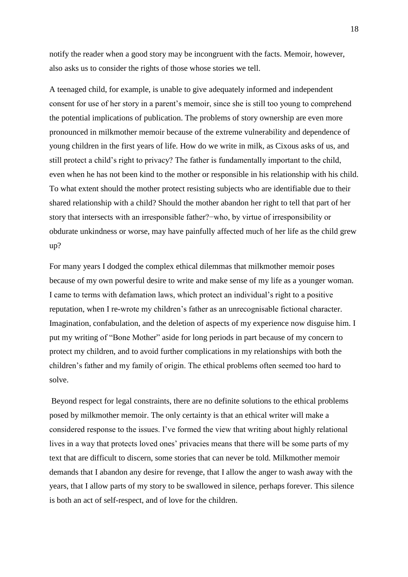notify the reader when a good story may be incongruent with the facts. Memoir, however, also asks us to consider the rights of those whose stories we tell.

A teenaged child, for example, is unable to give adequately informed and independent consent for use of her story in a parent"s memoir, since she is still too young to comprehend the potential implications of publication. The problems of story ownership are even more pronounced in milkmother memoir because of the extreme vulnerability and dependence of young children in the first years of life. How do we write in milk, as Cixous asks of us, and still protect a child"s right to privacy? The father is fundamentally important to the child, even when he has not been kind to the mother or responsible in his relationship with his child. To what extent should the mother protect resisting subjects who are identifiable due to their shared relationship with a child? Should the mother abandon her right to tell that part of her story that intersects with an irresponsible father?−who, by virtue of irresponsibility or obdurate unkindness or worse, may have painfully affected much of her life as the child grew up?

For many years I dodged the complex ethical dilemmas that milkmother memoir poses because of my own powerful desire to write and make sense of my life as a younger woman. I came to terms with defamation laws, which protect an individual"s right to a positive reputation, when I re-wrote my children"s father as an unrecognisable fictional character. Imagination, confabulation, and the deletion of aspects of my experience now disguise him. I put my writing of "Bone Mother" aside for long periods in part because of my concern to protect my children, and to avoid further complications in my relationships with both the children"s father and my family of origin. The ethical problems often seemed too hard to solve.

Beyond respect for legal constraints, there are no definite solutions to the ethical problems posed by milkmother memoir. The only certainty is that an ethical writer will make a considered response to the issues. I"ve formed the view that writing about highly relational lives in a way that protects loved ones' privacies means that there will be some parts of my text that are difficult to discern, some stories that can never be told. Milkmother memoir demands that I abandon any desire for revenge, that I allow the anger to wash away with the years, that I allow parts of my story to be swallowed in silence, perhaps forever. This silence is both an act of self-respect, and of love for the children.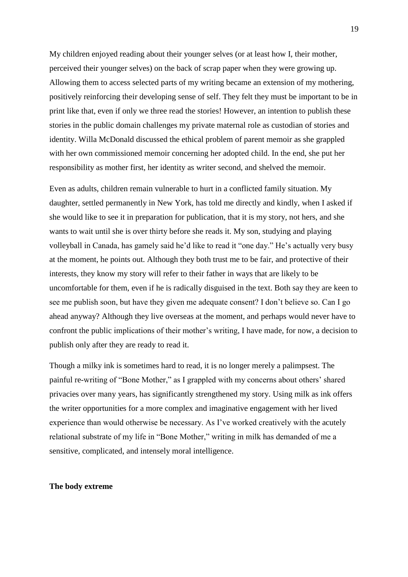My children enjoyed reading about their younger selves (or at least how I, their mother, perceived their younger selves) on the back of scrap paper when they were growing up. Allowing them to access selected parts of my writing became an extension of my mothering, positively reinforcing their developing sense of self. They felt they must be important to be in print like that, even if only we three read the stories! However, an intention to publish these stories in the public domain challenges my private maternal role as custodian of stories and identity. Willa McDonald discussed the ethical problem of parent memoir as she grappled with her own commissioned memoir concerning her adopted child. In the end, she put her responsibility as mother first, her identity as writer second, and shelved the memoir.

Even as adults, children remain vulnerable to hurt in a conflicted family situation. My daughter, settled permanently in New York, has told me directly and kindly, when I asked if she would like to see it in preparation for publication, that it is my story, not hers, and she wants to wait until she is over thirty before she reads it. My son, studying and playing volleyball in Canada, has gamely said he'd like to read it "one day." He's actually very busy at the moment, he points out. Although they both trust me to be fair, and protective of their interests, they know my story will refer to their father in ways that are likely to be uncomfortable for them, even if he is radically disguised in the text. Both say they are keen to see me publish soon, but have they given me adequate consent? I don"t believe so. Can I go ahead anyway? Although they live overseas at the moment, and perhaps would never have to confront the public implications of their mother"s writing, I have made, for now, a decision to publish only after they are ready to read it.

Though a milky ink is sometimes hard to read, it is no longer merely a palimpsest. The painful re-writing of "Bone Mother," as I grappled with my concerns about others" shared privacies over many years, has significantly strengthened my story. Using milk as ink offers the writer opportunities for a more complex and imaginative engagement with her lived experience than would otherwise be necessary. As I"ve worked creatively with the acutely relational substrate of my life in "Bone Mother," writing in milk has demanded of me a sensitive, complicated, and intensely moral intelligence.

#### **The body extreme**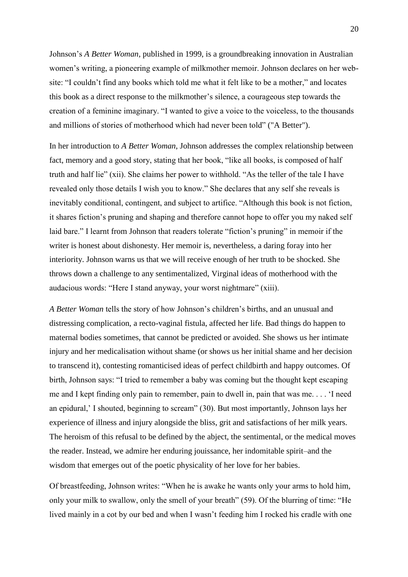Johnson"s *A Better Woman*, published in 1999, is a groundbreaking innovation in Australian women"s writing, a pioneering example of milkmother memoir. Johnson declares on her website: "I couldn"t find any books which told me what it felt like to be a mother," and locates this book as a direct response to the milkmother"s silence, a courageous step towards the creation of a feminine imaginary. "I wanted to give a voice to the voiceless, to the thousands and millions of stories of motherhood which had never been told" ("A Better").

In her introduction to *A Better Woman*, Johnson addresses the complex relationship between fact, memory and a good story, stating that her book, "like all books, is composed of half truth and half lie" (xii). She claims her power to withhold. "As the teller of the tale I have revealed only those details I wish you to know." She declares that any self she reveals is inevitably conditional, contingent, and subject to artifice. "Although this book is not fiction, it shares fiction"s pruning and shaping and therefore cannot hope to offer you my naked self laid bare." I learnt from Johnson that readers tolerate "fiction's pruning" in memoir if the writer is honest about dishonesty. Her memoir is, nevertheless, a daring foray into her interiority. Johnson warns us that we will receive enough of her truth to be shocked. She throws down a challenge to any sentimentalized, Virginal ideas of motherhood with the audacious words: "Here I stand anyway, your worst nightmare" (xiii).

*A Better Woman* tells the story of how Johnson"s children"s births, and an unusual and distressing complication, a recto-vaginal fistula, affected her life. Bad things do happen to maternal bodies sometimes, that cannot be predicted or avoided. She shows us her intimate injury and her medicalisation without shame (or shows us her initial shame and her decision to transcend it), contesting romanticised ideas of perfect childbirth and happy outcomes. Of birth, Johnson says: "I tried to remember a baby was coming but the thought kept escaping me and I kept finding only pain to remember, pain to dwell in, pain that was me. . . . "I need an epidural," I shouted, beginning to scream" (30). But most importantly, Johnson lays her experience of illness and injury alongside the bliss, grit and satisfactions of her milk years. The heroism of this refusal to be defined by the abject, the sentimental, or the medical moves the reader. Instead, we admire her enduring jouissance, her indomitable spirit–and the wisdom that emerges out of the poetic physicality of her love for her babies.

Of breastfeeding, Johnson writes: "When he is awake he wants only your arms to hold him, only your milk to swallow, only the smell of your breath" (59). Of the blurring of time: "He lived mainly in a cot by our bed and when I wasn"t feeding him I rocked his cradle with one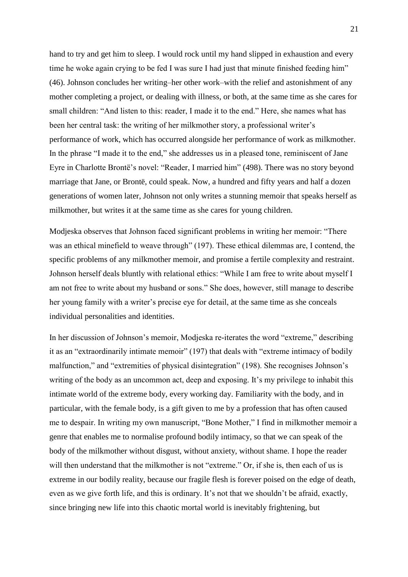hand to try and get him to sleep. I would rock until my hand slipped in exhaustion and every time he woke again crying to be fed I was sure I had just that minute finished feeding him" (46). Johnson concludes her writing–her other work–with the relief and astonishment of any mother completing a project, or dealing with illness, or both, at the same time as she cares for small children: "And listen to this: reader, I made it to the end." Here, she names what has been her central task: the writing of her milkmother story, a professional writer's performance of work, which has occurred alongside her performance of work as milkmother. In the phrase "I made it to the end," she addresses us in a pleased tone, reminiscent of Jane Eyre in Charlotte Brontë"s novel: "Reader, I married him" (498). There was no story beyond marriage that Jane, or Brontë, could speak. Now, a hundred and fifty years and half a dozen generations of women later, Johnson not only writes a stunning memoir that speaks herself as milkmother, but writes it at the same time as she cares for young children.

Modjeska observes that Johnson faced significant problems in writing her memoir: "There was an ethical minefield to weave through" (197). These ethical dilemmas are, I contend, the specific problems of any milkmother memoir, and promise a fertile complexity and restraint. Johnson herself deals bluntly with relational ethics: "While I am free to write about myself I am not free to write about my husband or sons." She does, however, still manage to describe her young family with a writer"s precise eye for detail, at the same time as she conceals individual personalities and identities.

In her discussion of Johnson"s memoir, Modjeska re-iterates the word "extreme," describing it as an "extraordinarily intimate memoir" (197) that deals with "extreme intimacy of bodily malfunction," and "extremities of physical disintegration" (198). She recognises Johnson"s writing of the body as an uncommon act, deep and exposing. It's my privilege to inhabit this intimate world of the extreme body, every working day. Familiarity with the body, and in particular, with the female body, is a gift given to me by a profession that has often caused me to despair. In writing my own manuscript, "Bone Mother," I find in milkmother memoir a genre that enables me to normalise profound bodily intimacy, so that we can speak of the body of the milkmother without disgust, without anxiety, without shame. I hope the reader will then understand that the milkmother is not "extreme." Or, if she is, then each of us is extreme in our bodily reality, because our fragile flesh is forever poised on the edge of death, even as we give forth life, and this is ordinary. It's not that we shouldn't be afraid, exactly, since bringing new life into this chaotic mortal world is inevitably frightening, but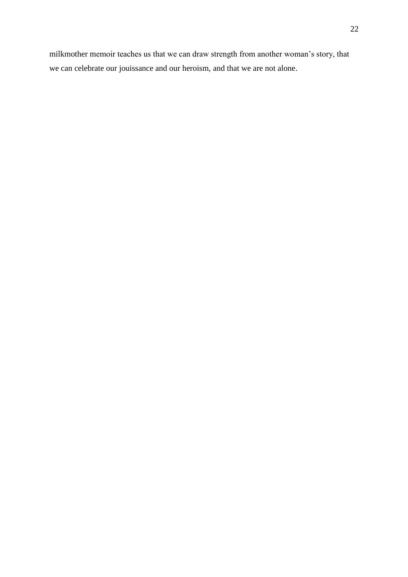milkmother memoir teaches us that we can draw strength from another woman"s story, that we can celebrate our jouissance and our heroism, and that we are not alone.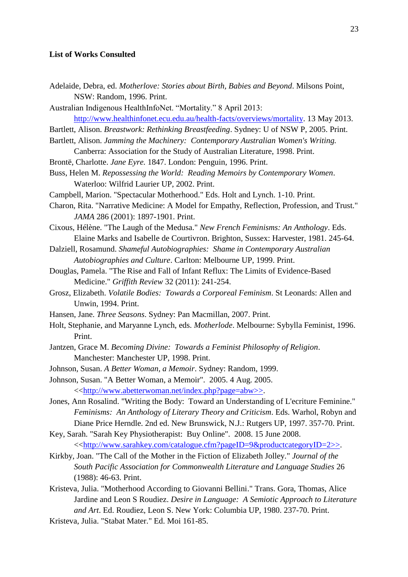#### **List of Works Consulted**

- Adelaide, Debra, ed. *Motherlove: Stories about Birth, Babies and Beyond*. Milsons Point, NSW: Random, 1996. Print.
- Australian Indigenous HealthInfoNet. "Mortality." 8 April 2013:
- [http://www.healthinfonet.ecu.edu.au/health-facts/overviews/mortality.](http://www.healthinfonet.ecu.edu.au/health-facts/overviews/mortality) 13 May 2013.
- Bartlett, Alison. *Breastwork: Rethinking Breastfeeding*. Sydney: U of NSW P, 2005. Print. Bartlett, Alison. *Jamming the Machinery: Contemporary Australian Women's Writing.*
- <span id="page-22-1"></span>Canberra: Association for the Study of Australian Literature, 1998. Print.
- <span id="page-22-3"></span>Brontë, Charlotte. *Jane Eyre.* 1847. London: Penguin, 1996. Print.
- Buss, Helen M. *Repossessing the World: Reading Memoirs by Contemporary Women*. Waterloo: Wilfrid Laurier UP, 2002. Print.
- <span id="page-22-2"></span>Campbell, Marion. "Spectacular Motherhood." Eds. Holt and Lynch. 1-10. Print.
- Charon, Rita. "Narrative Medicine: A Model for Empathy, Reflection, Profession, and Trust." *JAMA* 286 (2001): 1897-1901. Print.
- Cixous, Hélène. "The Laugh of the Medusa." *New French Feminisms: An Anthology*. Eds. Elaine Marks and Isabelle de Courtivron. Brighton, Sussex: Harvester, 1981. 245-64.
- Dalziell, Rosamund. *Shameful Autobiographies: Shame in Contemporary Australian Autobiographies and Culture*. Carlton: Melbourne UP, 1999. Print.
- Douglas, Pamela. "The Rise and Fall of Infant Reflux: The Limits of Evidence-Based Medicine." *Griffith Review* 32 (2011): 241-254.
- Grosz, Elizabeth. *Volatile Bodies: Towards a Corporeal Feminism*. St Leonards: Allen and Unwin, 1994. Print.
- Hansen, Jane. *Three Seasons*. Sydney: Pan Macmillan, 2007. Print.
- Holt, Stephanie, and Maryanne Lynch, eds. *Motherlode*. Melbourne: Sybylla Feminist, 1996. Print.
- Jantzen, Grace M. *Becoming Divine: Towards a Feminist Philosophy of Religion*. Manchester: Manchester UP, 1998. Print.
- Johnson, Susan. *A Better Woman, a Memoir*. Sydney: Random, 1999.
- Johnson, Susan. "A Better Woman, a Memoir". 2005. 4 Aug. 2005. <[<http://www.abetterwoman.net/index.php?page=abw>>.](http://www.abetterwoman.net/index.php?page=abw%3e%3e)
- <span id="page-22-4"></span>Jones, Ann Rosalind. "Writing the Body: Toward an Understanding of L'ecriture Feminine." *Feminisms: An Anthology of Literary Theory and Criticism*. Eds. Warhol, Robyn and Diane Price Herndle. 2nd ed. New Brunswick, N.J.: Rutgers UP, 1997. 357-70. Print.
- Key, Sarah. "Sarah Key Physiotherapist: Buy Online". 2008. 15 June 2008. <[<http://www.sarahkey.com/catalogue.cfm?pageID=9&productcategoryID=2>>.](http://www.sarahkey.com/catalogue.cfm?pageID=9&productcategoryID=2%3e%3e)
- Kirkby, Joan. "The Call of the Mother in the Fiction of Elizabeth Jolley." *Journal of the South Pacific Association for Commonwealth Literature and Language Studies* 26 (1988): 46-63. Print.
- <span id="page-22-0"></span>Kristeva, Julia. "Motherhood According to Giovanni Bellini." Trans. Gora, Thomas, Alice Jardine and Leon S Roudiez. *Desire in Language: A Semiotic Approach to Literature and Art*. Ed. Roudiez, Leon S. New York: Columbia UP, 1980. 237-70. Print.
- Kristeva, Julia. "Stabat Mater." Ed. Moi 161-85.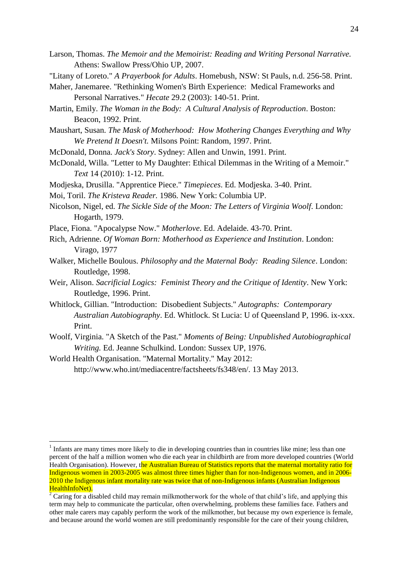- Larson, Thomas. *The Memoir and the Memoirist: Reading and Writing Personal Narrative.* Athens: Swallow Press/Ohio UP, 2007.
- "Litany of Loreto." *A Prayerbook for Adults*. Homebush, NSW: St Pauls, n.d. 256-58. Print.
- Maher, Janemaree. "Rethinking Women's Birth Experience: Medical Frameworks and Personal Narratives." *Hecate* 29.2 (2003): 140-51. Print.
- Martin, Emily. *The Woman in the Body: A Cultural Analysis of Reproduction*. Boston: Beacon, 1992. Print.
- <span id="page-23-0"></span>Maushart, Susan. *The Mask of Motherhood: How Mothering Changes Everything and Why We Pretend It Doesn't.* Milsons Point: Random, 1997. Print.
- McDonald, Donna. *Jack's Story*. Sydney: Allen and Unwin, 1991. Print.

<span id="page-23-2"></span>McDonald, Willa. "Letter to My Daughter: Ethical Dilemmas in the Writing of a Memoir." *Text* 14 (2010): 1-12. Print.

Modjeska, Drusilla. "Apprentice Piece." *Timepieces*. Ed. Modjeska. 3-40. Print.

Moi, Toril. *The Kristeva Reader.* 1986. New York: Columbia UP.

- Nicolson, Nigel, ed. *The Sickle Side of the Moon: The Letters of Virginia Woolf*. London: Hogarth, 1979.
- Place, Fiona. "Apocalypse Now." *Motherlove*. Ed. Adelaide. 43-70. Print.
- <span id="page-23-1"></span>Rich, Adrienne. *Of Woman Born: Motherhood as Experience and Institution*. London: Virago, 1977
- Walker, Michelle Boulous. *Philosophy and the Maternal Body: Reading Silence*. London: Routledge, 1998.
- Weir, Alison. *Sacrificial Logics: Feminist Theory and the Critique of Identity*. New York: Routledge, 1996. Print.
- Whitlock, Gillian. "Introduction: Disobedient Subjects." *Autographs: Contemporary Australian Autobiography*. Ed. Whitlock. St Lucia: U of Queensland P, 1996. ix-xxx. Print.
- Woolf, Virginia. "A Sketch of the Past." *Moments of Being: Unpublished Autobiographical Writing.* Ed. Jeanne Schulkind. London: Sussex UP, 1976.

World Health Organisation. "Maternal Mortality." May 2012: http://www.who.int/mediacentre/factsheets/fs348/en/. 13 May 2013.

Infants are many times more likely to die in developing countries than in countries like mine; less than one percent of the half a million women who die each year in childbirth are from more developed countries (World Health Organisation). However, the Australian Bureau of Statistics reports that the maternal mortality ratio for Indigenous women in 2003-2005 was almost three times higher than for non-Indigenous women, and in 2006- 2010 the Indigenous infant mortality rate was twice that of non-Indigenous infants (Australian Indigenous HealthInfoNet).

 $2^2$  Caring for a disabled child may remain milkmotherwork for the whole of that child's life, and applying this term may help to communicate the particular, often overwhelming, problems these families face. Fathers and other male carers may capably perform the work of the milkmother, but because my own experience is female, and because around the world women are still predominantly responsible for the care of their young children,